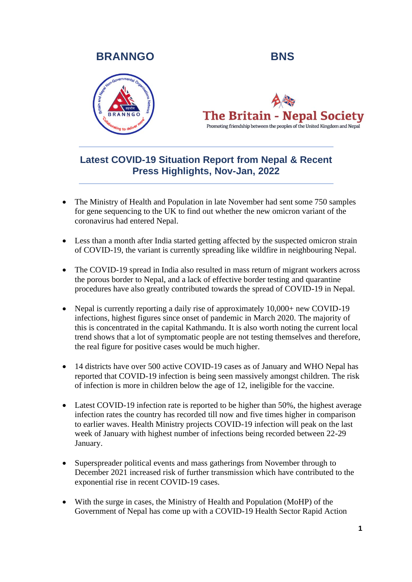## **BRANNGO BNS**





# **Latest COVID-19 Situation Report from Nepal & Recent Press Highlights, Nov-Jan, 2022**

- The Ministry of Health and Population in late November had sent some 750 samples for gene sequencing to the UK to find out whether the new omicron variant of the coronavirus had entered Nepal.
- Less than a month after India started getting affected by the suspected omicron strain of COVID-19, the variant is currently spreading like wildfire in neighbouring Nepal.
- The COVID-19 spread in India also resulted in mass return of migrant workers across the porous border to Nepal, and a lack of effective border testing and quarantine procedures have also greatly contributed towards the spread of COVID-19 in Nepal.
- Nepal is currently reporting a daily rise of approximately  $10,000+$  new COVID-19 infections, highest figures since onset of pandemic in March 2020. The majority of this is concentrated in the capital Kathmandu. It is also worth noting the current local trend shows that a lot of symptomatic people are not testing themselves and therefore, the real figure for positive cases would be much higher.
- 14 districts have over 500 active COVID-19 cases as of January and WHO Nepal has reported that COVID-19 infection is being seen massively amongst children. The risk of infection is more in children below the age of 12, ineligible for the vaccine.
- Latest COVID-19 infection rate is reported to be higher than 50%, the highest average infection rates the country has recorded till now and five times higher in comparison to earlier waves. Health Ministry projects COVID-19 infection will peak on the last week of January with highest number of infections being recorded between 22-29 January.
- Superspreader political events and mass gatherings from November through to December 2021 increased risk of further transmission which have contributed to the exponential rise in recent COVID-19 cases.
- With the surge in cases, the Ministry of Health and Population (MoHP) of the Government of Nepal has come up with a COVID-19 Health Sector Rapid Action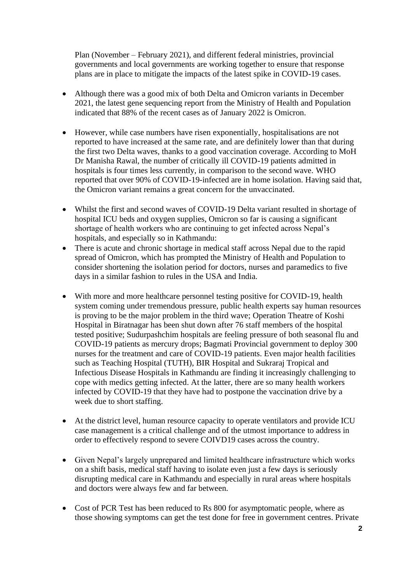Plan (November – February 2021), and different federal ministries, provincial governments and local governments are working together to ensure that response plans are in place to mitigate the impacts of the latest spike in COVID-19 cases.

- Although there was a good mix of both Delta and Omicron variants in December 2021, the latest gene sequencing report from the Ministry of Health and Population indicated that 88% of the recent cases as of January 2022 is Omicron.
- However, while case numbers have risen exponentially, hospitalisations are not reported to have increased at the same rate, and are definitely lower than that during the first two Delta waves, thanks to a good vaccination coverage. According to MoH Dr Manisha Rawal, the number of critically ill COVID-19 patients admitted in hospitals is four times less currently, in comparison to the second wave. WHO reported that over 90% of COVID-19-infected are in home isolation. Having said that, the Omicron variant remains a great concern for the unvaccinated.
- Whilst the first and second waves of COVID-19 Delta variant resulted in shortage of hospital ICU beds and oxygen supplies, Omicron so far is causing a significant shortage of health workers who are continuing to get infected across Nepal's hospitals, and especially so in Kathmandu:
- There is acute and chronic shortage in medical staff across Nepal due to the rapid spread of Omicron, which has prompted the Ministry of Health and Population to consider shortening the isolation period for doctors, nurses and paramedics to five days in a similar fashion to rules in the USA and India.
- With more and more healthcare personnel testing positive for COVID-19, health system coming under tremendous pressure, public health experts say human resources is proving to be the major problem in the third wave; Operation Theatre of Koshi Hospital in Biratnagar has been shut down after 76 staff members of the hospital tested positive; Sudurpashchim hospitals are feeling pressure of both seasonal flu and COVID-19 patients as mercury drops; Bagmati Provincial government to deploy 300 nurses for the treatment and care of COVID-19 patients. Even major health facilities such as Teaching Hospital (TUTH), BIR Hospital and Sukraraj Tropical and Infectious Disease Hospitals in Kathmandu are finding it increasingly challenging to cope with medics getting infected. At the latter, there are so many health workers infected by COVID-19 that they have had to postpone the vaccination drive by a week due to short staffing.
- At the district level, human resource capacity to operate ventilators and provide ICU case management is a critical challenge and of the utmost importance to address in order to effectively respond to severe COIVD19 cases across the country.
- Given Nepal's largely unprepared and limited healthcare infrastructure which works on a shift basis, medical staff having to isolate even just a few days is seriously disrupting medical care in Kathmandu and especially in rural areas where hospitals and doctors were always few and far between.
- Cost of PCR Test has been reduced to Rs 800 for asymptomatic people, where as those showing symptoms can get the test done for free in government centres. Private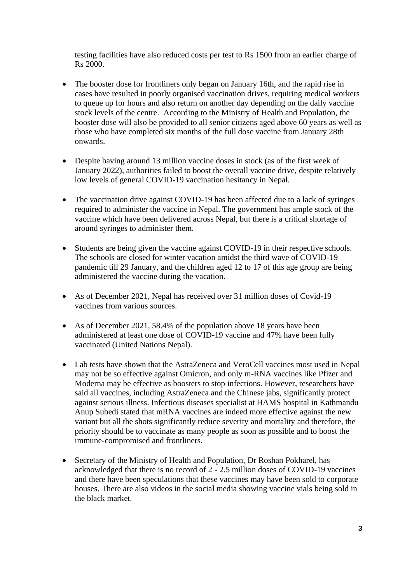testing facilities have also reduced costs per test to Rs 1500 from an earlier charge of Rs 2000.

- The booster dose for frontliners only began on January 16th, and the rapid rise in cases have resulted in poorly organised vaccination drives, requiring medical workers to queue up for hours and also return on another day depending on the daily vaccine stock levels of the centre. According to the Ministry of Health and Population, the booster dose will also be provided to all senior citizens aged above 60 years as well as those who have completed six months of the full dose vaccine from January 28th onwards.
- Despite having around 13 million vaccine doses in stock (as of the first week of January 2022), authorities failed to boost the overall vaccine drive, despite relatively low levels of general COVID-19 vaccination hesitancy in Nepal.
- The vaccination drive against COVID-19 has been affected due to a lack of syringes required to administer the vaccine in Nepal. The government has ample stock of the vaccine which have been delivered across Nepal, but there is a critical shortage of around syringes to administer them.
- Students are being given the vaccine against COVID-19 in their respective schools. The schools are closed for winter vacation amidst the third wave of COVID-19 pandemic till 29 January, and the children aged 12 to 17 of this age group are being administered the vaccine during the vacation.
- As of December 2021, Nepal has received over 31 million doses of Covid-19 vaccines from various sources.
- As of December 2021, 58.4% of the population above 18 years have been administered at least one dose of COVID-19 vaccine and 47% have been fully vaccinated (United Nations Nepal).
- Lab tests have shown that the AstraZeneca and VeroCell vaccines most used in Nepal may not be so effective against Omicron, and only m-RNA vaccines like Pfizer and Moderna may be effective as boosters to stop infections. However, researchers have said all vaccines, including AstraZeneca and the Chinese jabs, significantly protect against serious illness. Infectious diseases specialist at HAMS hospital in Kathmandu Anup Subedi stated that mRNA vaccines are indeed more effective against the new variant but all the shots significantly reduce severity and mortality and therefore, the priority should be to vaccinate as many people as soon as possible and to boost the immune-compromised and frontliners.
- Secretary of the Ministry of Health and Population, Dr Roshan Pokharel, has acknowledged that there is no record of 2 - 2.5 million doses of COVID-19 vaccines and there have been speculations that these vaccines may have been sold to corporate houses. There are also videos in the social media showing vaccine vials being sold in the black market.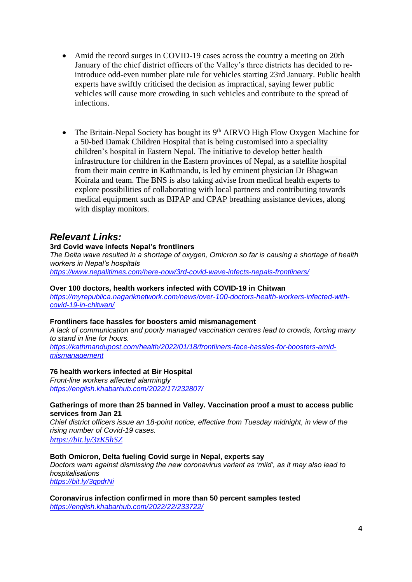- Amid the record surges in COVID-19 cases across the country a meeting on 20th January of the chief district officers of the Valley's three districts has decided to reintroduce odd-even number plate rule for vehicles starting 23rd January. Public health experts have swiftly criticised the decision as impractical, saying fewer public vehicles will cause more crowding in such vehicles and contribute to the spread of infections.
- The Britain-Nepal Society has bought its  $9<sup>th</sup>$  AIRVO High Flow Oxygen Machine for a 50-bed Damak Children Hospital that is being customised into a speciality children's hospital in Eastern Nepal. The initiative to develop better health infrastructure for children in the Eastern provinces of Nepal, as a satellite hospital from their main centre in Kathmandu, is led by eminent physician Dr Bhagwan Koirala and team. The BNS is also taking advise from medical health experts to explore possibilities of collaborating with local partners and contributing towards medical equipment such as BIPAP and CPAP breathing assistance devices, along with display monitors.

### *Relevant Links:*

#### **3rd Covid wave infects Nepal's frontliners**

*The Delta wave resulted in a shortage of oxygen, Omicron so far is causing a shortage of health workers in Nepal's hospitals https://www.nepalitimes.com/here-now/3rd-covid-wave-infects-nepals-frontliners/*

**Over 100 doctors, health workers infected with COVID-19 in Chitwan** *https://myrepublica.nagariknetwork.com/news/over-100-doctors-health-workers-infected-withcovid-19-in-chitwan/*

#### **Frontliners face hassles for boosters amid mismanagement**

*A lack of communication and poorly managed vaccination centres lead to crowds, forcing many to stand in line for hours.*

*https://kathmandupost.com/health/2022/01/18/frontliners-face-hassles-for-boosters-amidmismanagement* 

#### **76 health workers infected at Bir Hospital**

*Front-line workers affected alarmingly https://english.khabarhub.com/2022/17/232807/*

#### **Gatherings of more than 25 banned in Valley. Vaccination proof a must to access public services from Jan 21**

*Chief district officers issue an 18-point notice, effective from Tuesday midnight, in view of the rising number of Covid-19 cases.*

*https://bit.ly/3zK5hSZ*

**Both Omicron, Delta fueling Covid surge in Nepal, experts say** *Doctors warn against dismissing the new coronavirus variant as 'mild', as it may also lead to hospitalisations* 

*https://bit.ly/3qpdrNi* 

**Coronavirus infection confirmed in more than 50 percent samples tested** *https://english.khabarhub.com/2022/22/233722/*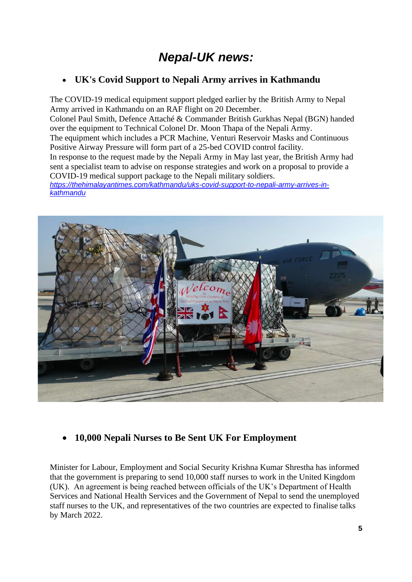# *Nepal-UK news:*

### • **UK's Covid Support to Nepali Army arrives in Kathmandu**

The COVID-19 medical equipment support pledged earlier by the British Army to Nepal Army arrived in Kathmandu on an RAF flight on 20 December.

Colonel Paul Smith, Defence Attaché & Commander British Gurkhas Nepal (BGN) handed over the equipment to Technical Colonel Dr. Moon Thapa of the Nepali Army.

The equipment which includes a PCR Machine, Venturi Reservoir Masks and Continuous Positive Airway Pressure will form part of a 25-bed COVID control facility.

In response to the request made by the Nepali Army in May last year, the British Army had sent a specialist team to advise on response strategies and work on a proposal to provide a COVID-19 medical support package to the Nepali military soldiers.

*https://thehimalayantimes.com/kathmandu/uks-covid-support-to-nepali-army-arrives-inkathmandu*



### • **10,000 Nepali Nurses to Be Sent UK For Employment**

Minister for Labour, Employment and Social Security Krishna Kumar Shrestha has informed that the government is preparing to send 10,000 staff nurses to work in the United Kingdom (UK). An agreement is being reached between officials of the UK's Department of Health Services and National Health Services and the Government of Nepal to send the unemployed staff nurses to the UK, and representatives of the two countries are expected to finalise talks by March 2022.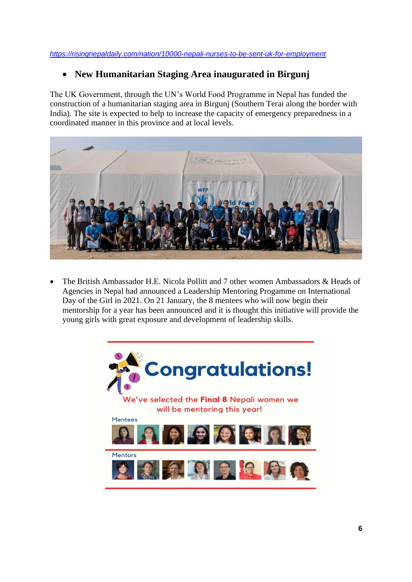*https://risingnepaldaily.com/nation/10000-nepali-nurses-to-be-sent-uk-for-employment*

### • **New Humanitarian Staging Area inaugurated in Birgunj**

The UK Government, through the UN's World Food Programme in Nepal has funded the construction of a humanitarian staging area in Birgunj (Southern Terai along the border with India). The site is expected to help to increase the capacity of emergency preparedness in a coordinated manner in this province and at local levels.



• The British Ambassador H.E. Nicola Pollitt and 7 other women Ambassadors & Heads of Agencies in Nepal had announced a Leadership Mentoring Progamme on International Day of the Girl in 2021. On 21 January, the 8 mentees who will now begin their mentorship for a year has been announced and it is thought this initiative will provide the young girls with great exposure and development of leadership skills.

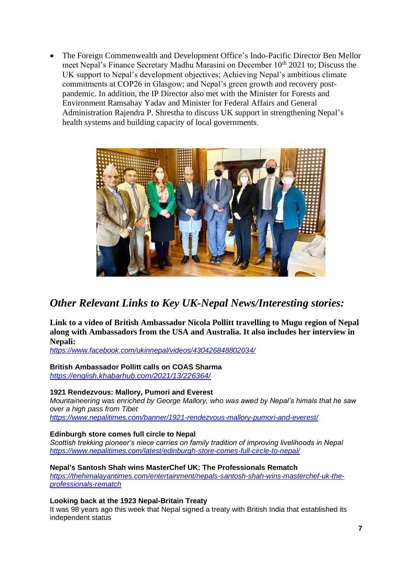• The Foreign Commenwealth and Development Office's Indo-Pacific Director Ben Mellor meet Nepal's Finance Secretary Madhu Marasini on December 10<sup>th</sup> 2021 to; Discuss the UK support to Nepal's development objectives; Achieving Nepal's ambitious climate commitments at COP26 in Glasgow; and Nepal's green growth and recovery postpandemic. In addition, the IP Director also met with the Minister for Forests and Environment Ramsahay Yadav and Minister for Federal Affairs and General Administration Rajendra P. Shrestha to discuss UK support in strengthening Nepal's health systems and building capacity of local governments.



# *Other Relevant Links to Key UK-Nepal News/Interesting stories:*

**Link to a video of British Ambassador Nicola Pollitt travelling to Mugu region of Nepal along with Ambassadors from the USA and Australia. It also includes her interview in Nepali:**

*https://www.facebook.com/ukinnepal/videos/430426848802034/*

### **British Ambassador Pollitt calls on COAS Sharma**

*https://english.khabarhub.com/2021/13/226364/*

#### **1921 Rendezvous: Mallory, Pumori and Everest**

*Mountaineering was enriched by George Mallory, who was awed by Nepal's himals that he saw over a high pass from Tibet*

*https://www.nepalitimes.com/banner/1921-rendezvous-mallory-pumori-and-everest/*

#### **Edinburgh store comes full circle to Nepal**

*Scottish trekking pioneer's niece carries on family tradition of improving livelihoods in Nepal https://www.nepalitimes.com/latest/edinburgh-store-comes-full-circle-to-nepal/*

#### **Nepal's Santosh Shah wins MasterChef UK: The Professionals Rematch**

*https://thehimalayantimes.com/entertainment/nepals-santosh-shah-wins-masterchef-uk-theprofessionals-rematch*

#### **Looking back at the 1923 Nepal-Britain Treaty**

It was 98 years ago this week that Nepal signed a treaty with British India that established its independent status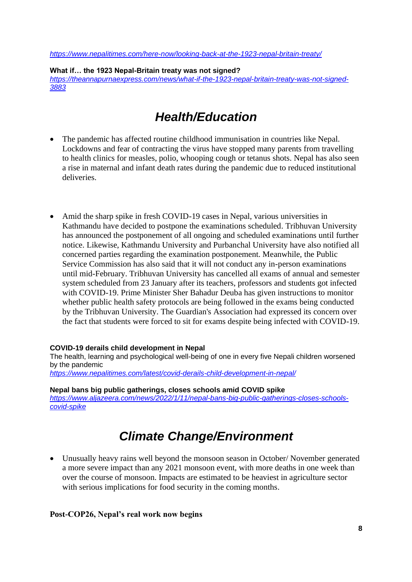*https://www.nepalitimes.com/here-now/looking-back-at-the-1923-nepal-britain-treaty/*

**What if… the 1923 Nepal-Britain treaty was not signed?** *https://theannapurnaexpress.com/news/what-if-the-1923-nepal-britain-treaty-was-not-signed-3883*

# *Health/Education*

- The pandemic has affected routine childhood immunisation in countries like Nepal. Lockdowns and fear of contracting the virus have stopped many parents from travelling to health clinics for measles, polio, whooping cough or tetanus shots. Nepal has also seen a rise in maternal and infant death rates during the pandemic due to reduced institutional deliveries.
- Amid the sharp spike in fresh COVID-19 cases in Nepal, various universities in Kathmandu have decided to postpone the examinations scheduled. Tribhuvan University has announced the postponement of all ongoing and scheduled examinations until further notice. Likewise, Kathmandu University and Purbanchal University have also notified all concerned parties regarding the examination postponement. Meanwhile, the Public Service Commission has also said that it will not conduct any in-person examinations until mid-February. Tribhuvan University has cancelled all exams of annual and semester system scheduled from 23 January after its teachers, professors and students got infected with COVID-19. Prime Minister Sher Bahadur Deuba has given instructions to monitor whether public health safety protocols are being followed in the exams being conducted by the Tribhuvan University. The Guardian's Association had expressed its concern over the fact that students were forced to sit for exams despite being infected with COVID-19.

#### **COVID-19 derails child development in Nepal**

The health, learning and psychological well-being of one in every five Nepali children worsened by the pandemic *https://www.nepalitimes.com/latest/covid-derails-child-development-in-nepal/*

**Nepal bans big public gatherings, closes schools amid COVID spike** *https://www.aljazeera.com/news/2022/1/11/nepal-bans-big-public-gatherings-closes-schoolscovid-spike*

# *Climate Change/Environment*

• Unusually heavy rains well beyond the monsoon season in October/ November generated a more severe impact than any 2021 monsoon event, with more deaths in one week than over the course of monsoon. Impacts are estimated to be heaviest in agriculture sector with serious implications for food security in the coming months.

#### **Post-COP26, Nepal's real work now begins**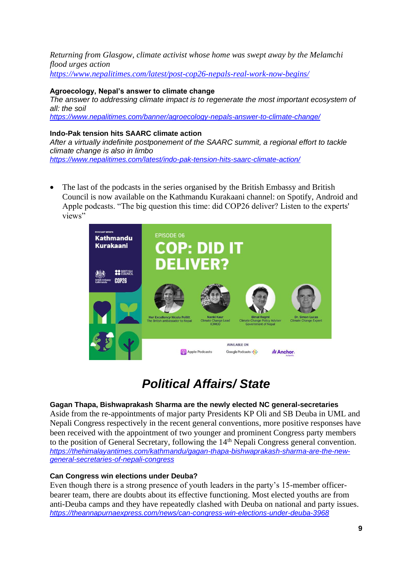*Returning from Glasgow, climate activist whose home was swept away by the Melamchi flood urges action https://www.nepalitimes.com/latest/post-cop26-nepals-real-work-now-begins/*

#### **Agroecology, Nepal's answer to climate change**

*The answer to addressing climate impact is to regenerate the most important ecosystem of all: the soil https://www.nepalitimes.com/banner/agroecology-nepals-answer-to-climate-change/*

#### **Indo-Pak tension hits SAARC climate action**

*After a virtually indefinite postponement of the SAARC summit, a regional effort to tackle climate change is also in limbo https://www.nepalitimes.com/latest/indo-pak-tension-hits-saarc-climate-action/*

• The last of the podcasts in the series organised by the British Embassy and British Council is now available on the Kathmandu Kurakaani channel: on Spotify, Android and Apple podcasts. "The big question this time: did COP26 deliver? Listen to the experts' views"



# *Political Affairs/ State*

#### **Gagan Thapa, Bishwaprakash Sharma are the newly elected NC general-secretaries**

Aside from the re-appointments of major party Presidents KP Oli and SB Deuba in UML and Nepali Congress respectively in the recent general conventions, more positive responses have been received with the appointment of two younger and prominent Congress party members to the position of General Secretary, following the 14<sup>th</sup> Nepali Congress general convention. *https://thehimalayantimes.com/kathmandu/gagan-thapa-bishwaprakash-sharma-are-the-newgeneral-secretaries-of-nepali-congress* 

#### **Can Congress win elections under Deuba?**

Even though there is a strong presence of youth leaders in the party's 15-member officerbearer team, there are doubts about its effective functioning. Most elected youths are from anti-Deuba camps and they have repeatedly clashed with Deuba on national and party issues. *https://theannapurnaexpress.com/news/can-congress-win-elections-under-deuba-3968*